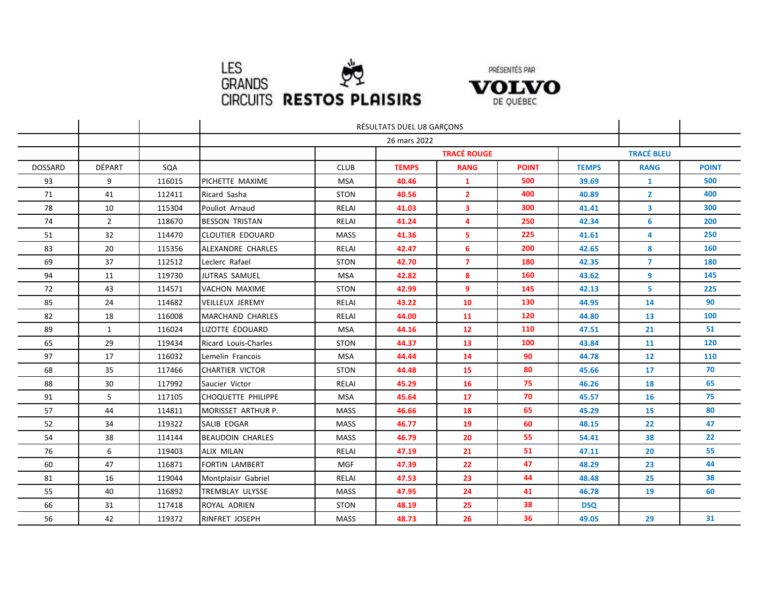



|                |                |        | RÉSULTATS DUEL U8 GARÇONS |                    |              |                |              |                   |                |              |
|----------------|----------------|--------|---------------------------|--------------------|--------------|----------------|--------------|-------------------|----------------|--------------|
|                |                |        |                           |                    |              |                |              |                   |                |              |
|                |                |        |                           | <b>TRACÉ ROUGE</b> |              |                |              | <b>TRACÉ BLEU</b> |                |              |
| <b>DOSSARD</b> | DÉPART         | SQA    |                           | <b>CLUB</b>        | <b>TEMPS</b> | <b>RANG</b>    | <b>POINT</b> | <b>TEMPS</b>      | <b>RANG</b>    | <b>POINT</b> |
| 93             | 9              | 116015 | PICHETTE MAXIME           | <b>MSA</b>         | 40.46        | 1              | 500          | 39.69             | 1              | 500          |
| 71             | 41             | 112411 | Ricard Sasha              | <b>STON</b>        | 40.56        | $\overline{2}$ | 400          | 40.89             | $\overline{2}$ | 400          |
| 78             | 10             | 115304 | Pouliot Arnaud            | RELAI              | 41.03        | 3              | 300          | 41.41             | 3              | 300          |
| 74             | $\overline{2}$ | 118670 | <b>BESSON TRISTAN</b>     | RELAI              | 41.24        | 4              | 250          | 42.34             | 6              | 200          |
| 51             | 32             | 114470 | <b>CLOUTIER EDOUARD</b>   | <b>MASS</b>        | 41.36        | 5              | 225          | 41.61             | 4              | 250          |
| 83             | 20             | 115356 | ALEXANDRE CHARLES         | RELAI              | 42.47        | 6              | 200          | 42.65             | 8              | 160          |
| 69             | 37             | 112512 | Leclerc Rafael            | <b>STON</b>        | 42.70        | $\overline{7}$ | 180          | 42.35             | $\overline{7}$ | 180          |
| 94             | 11             | 119730 | JUTRAS SAMUEL             | <b>MSA</b>         | 42.82        | 8              | 160          | 43.62             | 9              | 145          |
| 72             | 43             | 114571 | <b>VACHON MAXIME</b>      | <b>STON</b>        | 42.99        | 9              | 145          | 42.13             | 5              | 225          |
| 85             | 24             | 114682 | <b>VEILLEUX JEREMY</b>    | RELAI              | 43.22        | 10             | 130          | 44.95             | 14             | 90           |
| 82             | 18             | 116008 | <b>MARCHAND CHARLES</b>   | RELAI              | 44.00        | 11             | 120          | 44.80             | 13             | 100          |
| 89             | $\mathbf{1}$   | 116024 | LIZOTTE ÉDOUARD           | <b>MSA</b>         | 44.16        | 12             | 110          | 47.51             | 21             | 51           |
| 65             | 29             | 119434 | Ricard Louis-Charles      | <b>STON</b>        | 44.37        | 13             | 100          | 43.84             | 11             | 120          |
| 97             | 17             | 116032 | Lemelin Francois          | <b>MSA</b>         | 44.44        | 14             | 90           | 44.78             | 12             | 110          |
| 68             | 35             | 117466 | <b>CHARTIER VICTOR</b>    | <b>STON</b>        | 44.48        | 15             | 80           | 45.66             | 17             | 70           |
| 88             | 30             | 117992 | Saucier Victor            | RELAI              | 45.29        | 16             | 75           | 46.26             | 18             | 65           |
| 91             | 5              | 117105 | <b>CHOQUETTE PHILIPPE</b> | <b>MSA</b>         | 45.64        | 17             | 70           | 45.57             | 16             | 75           |
| 57             | 44             | 114811 | MORISSET ARTHUR P.        | <b>MASS</b>        | 46.66        | 18             | 65           | 45.29             | 15             | 80           |
| 52             | 34             | 119322 | SALIB EDGAR               | <b>MASS</b>        | 46.77        | 19             | 60           | 48.15             | 22             | 47           |
| 54             | 38             | 114144 | <b>BEAUDOIN CHARLES</b>   | <b>MASS</b>        | 46.79        | 20             | 55           | 54.41             | 38             | 22           |
| 76             | 6              | 119403 | ALIX MILAN                | <b>RELAI</b>       | 47.19        | 21             | 51           | 47.11             | 20             | 55           |
| 60             | 47             | 116871 | <b>FORTIN LAMBERT</b>     | <b>MGF</b>         | 47.39        | 22             | 47           | 48.29             | 23             | 44           |
| 81             | 16             | 119044 | Montplaisir Gabriel       | RELAI              | 47.53        | 23             | 44           | 48.48             | 25             | 38           |
| 55             | 40             | 116892 | <b>TREMBLAY ULYSSE</b>    | <b>MASS</b>        | 47.95        | 24             | 41           | 46.78             | 19             | 60           |
| 66             | 31             | 117418 | ROYAL ADRIEN              | <b>STON</b>        | 48.19        | 25             | 38           | <b>DSQ</b>        |                |              |
| 56             | 42             | 119372 | RINFRET JOSEPH            | <b>MASS</b>        | 48.73        | 26             | 36           | 49.05             | 29             | 31           |

Š